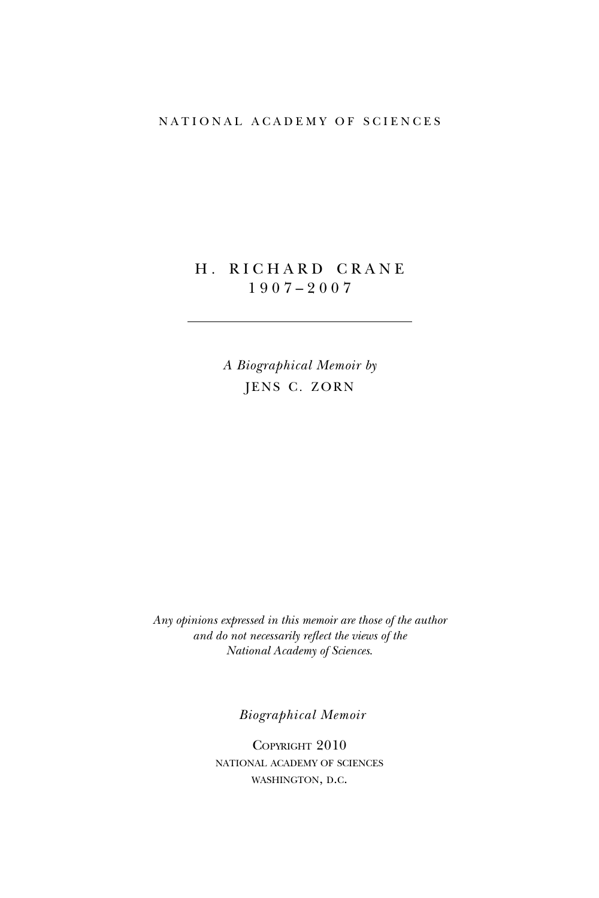# NATIONAL ACADEMY OF SCIENCES

# H. RICHARD CRANE 1 9 0 7 – 2 0 0 7

*A Biographical Memoir by* JENS C. ZORN

*Any opinions expressed in this memoir are those of the author and do not necessarily reflect the views of the National Academy of Sciences*.

*Biographical Memoir*

COPYRIGHT 2010 national academy of sciences washington, d.c.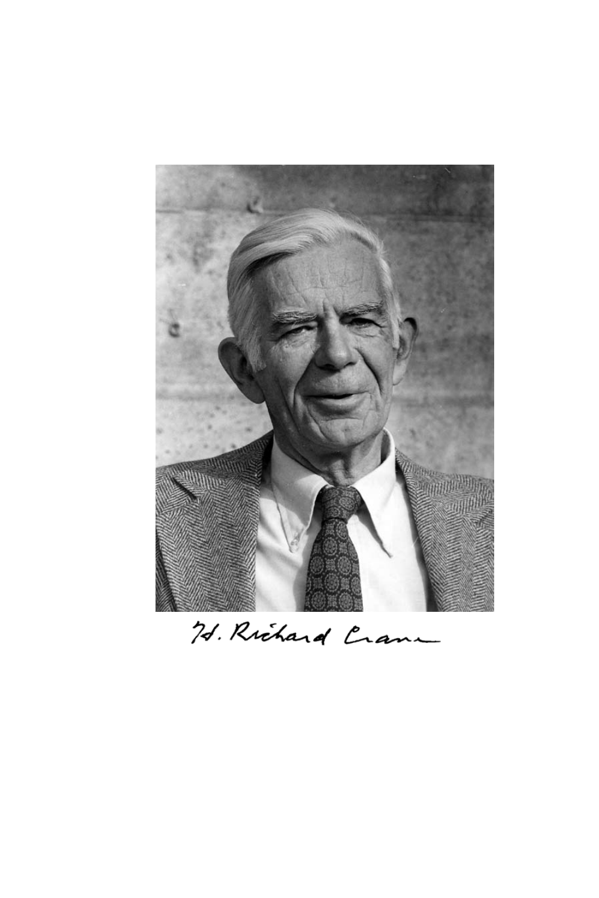

H. Richard Crane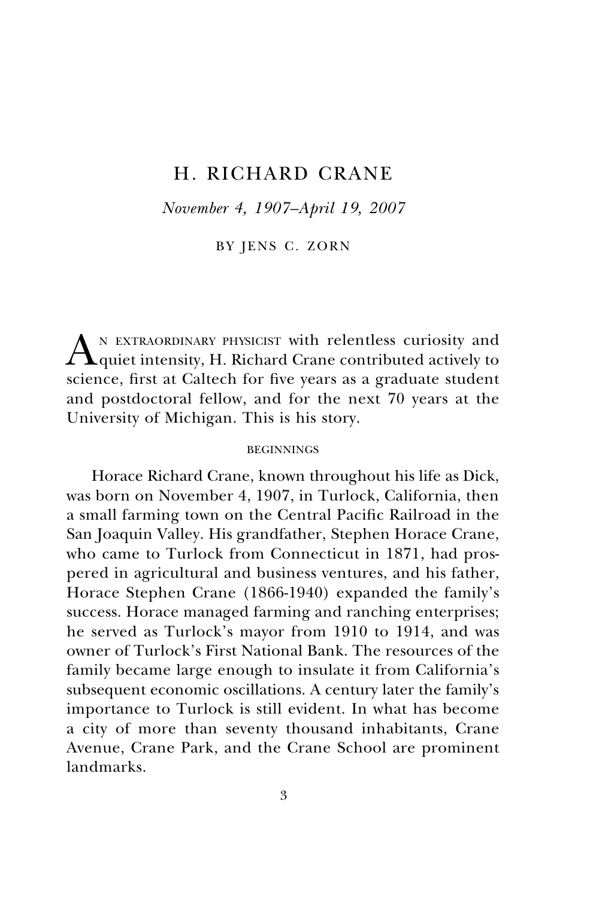# H. RICHARD CRANE

*November 4, 1907–April 19, 2007*

BY JENS C. ZORN

AN EXTRAORDINARY PHYSICIST with relentless curiosity and quiet intensity, H. Richard Crane contributed actively to science, first at Caltech for five years as a graduate student and postdoctoral fellow, and for the next 70 years at the University of Michigan. This is his story.

### BEGINNINGS

Horace Richard Crane, known throughout his life as Dick, was born on November 4, 1907, in Turlock, California, then a small farming town on the Central Pacific Railroad in the San Joaquin Valley. His grandfather, Stephen Horace Crane, who came to Turlock from Connecticut in 1871, had prospered in agricultural and business ventures, and his father, Horace Stephen Crane (1866-1940) expanded the family's success. Horace managed farming and ranching enterprises; he served as Turlock's mayor from 1910 to 1914, and was owner of Turlock's First National Bank. The resources of the family became large enough to insulate it from California's subsequent economic oscillations. A century later the family's importance to Turlock is still evident. In what has become a city of more than seventy thousand inhabitants, Crane Avenue, Crane Park, and the Crane School are prominent landmarks.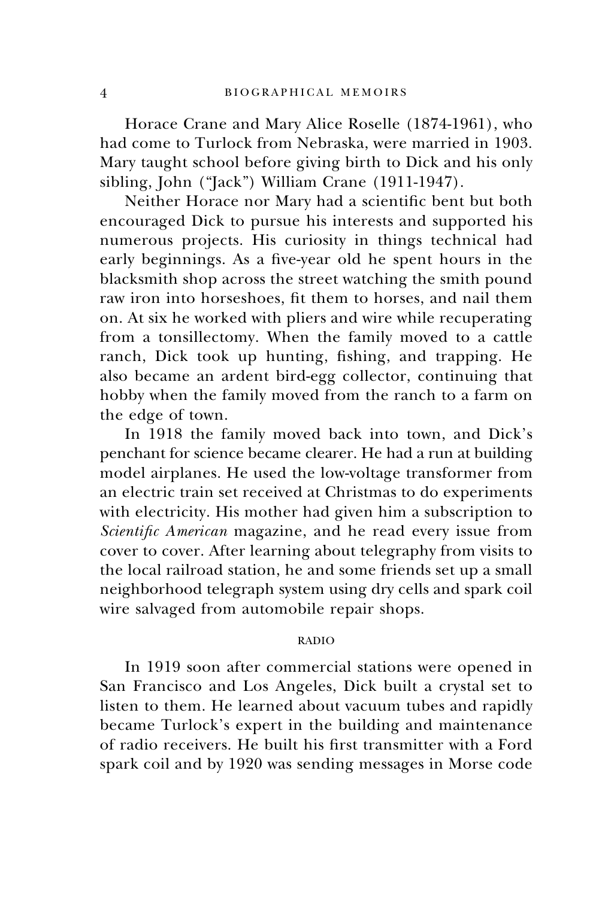Horace Crane and Mary Alice Roselle (1874-1961), who had come to Turlock from Nebraska, were married in 1903. Mary taught school before giving birth to Dick and his only sibling, John ("Jack") William Crane (1911-1947).

Neither Horace nor Mary had a scientific bent but both encouraged Dick to pursue his interests and supported his numerous projects. His curiosity in things technical had early beginnings. As a five-year old he spent hours in the blacksmith shop across the street watching the smith pound raw iron into horseshoes, fit them to horses, and nail them on. At six he worked with pliers and wire while recuperating from a tonsillectomy. When the family moved to a cattle ranch, Dick took up hunting, fishing, and trapping. He also became an ardent bird-egg collector, continuing that hobby when the family moved from the ranch to a farm on the edge of town.

In 1918 the family moved back into town, and Dick's penchant for science became clearer. He had a run at building model airplanes. He used the low-voltage transformer from an electric train set received at Christmas to do experiments with electricity. His mother had given him a subscription to *Scientific American* magazine, and he read every issue from cover to cover. After learning about telegraphy from visits to the local railroad station, he and some friends set up a small neighborhood telegraph system using dry cells and spark coil wire salvaged from automobile repair shops.

# RADIO

In 1919 soon after commercial stations were opened in San Francisco and Los Angeles, Dick built a crystal set to listen to them. He learned about vacuum tubes and rapidly became Turlock's expert in the building and maintenance of radio receivers. He built his first transmitter with a Ford spark coil and by 1920 was sending messages in Morse code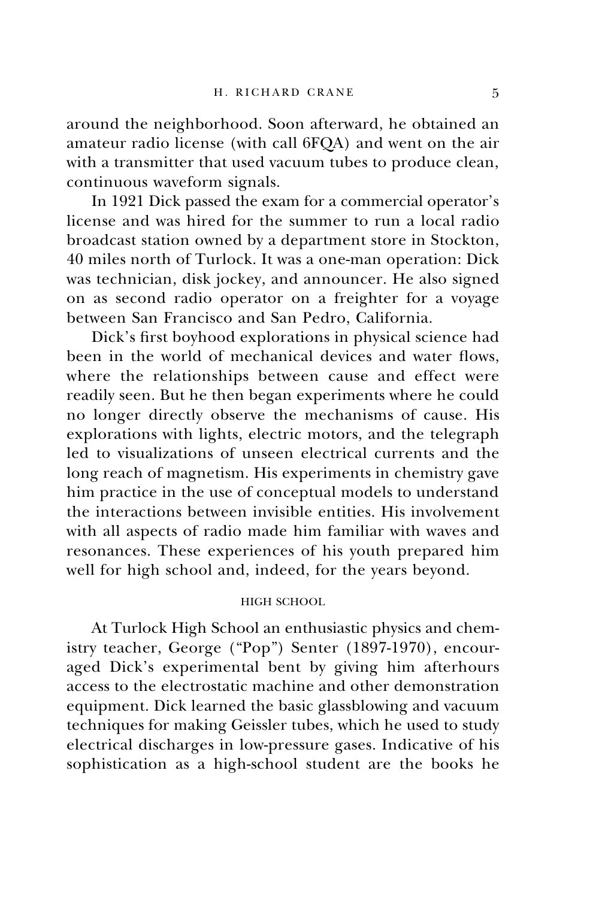around the neighborhood. Soon afterward, he obtained an amateur radio license (with call 6FQA) and went on the air with a transmitter that used vacuum tubes to produce clean, continuous waveform signals.

In 1921 Dick passed the exam for a commercial operator's license and was hired for the summer to run a local radio broadcast station owned by a department store in Stockton, 40 miles north of Turlock. It was a one-man operation: Dick was technician, disk jockey, and announcer. He also signed on as second radio operator on a freighter for a voyage between San Francisco and San Pedro, California.

Dick's first boyhood explorations in physical science had been in the world of mechanical devices and water flows, where the relationships between cause and effect were readily seen. But he then began experiments where he could no longer directly observe the mechanisms of cause. His explorations with lights, electric motors, and the telegraph led to visualizations of unseen electrical currents and the long reach of magnetism. His experiments in chemistry gave him practice in the use of conceptual models to understand the interactions between invisible entities. His involvement with all aspects of radio made him familiar with waves and resonances. These experiences of his youth prepared him well for high school and, indeed, for the years beyond.

# HIGH SCHOOL

At Turlock High School an enthusiastic physics and chemistry teacher, George ("Pop") Senter (1897-1970), encouraged Dick's experimental bent by giving him afterhours access to the electrostatic machine and other demonstration equipment. Dick learned the basic glassblowing and vacuum techniques for making Geissler tubes, which he used to study electrical discharges in low-pressure gases. Indicative of his sophistication as a high-school student are the books he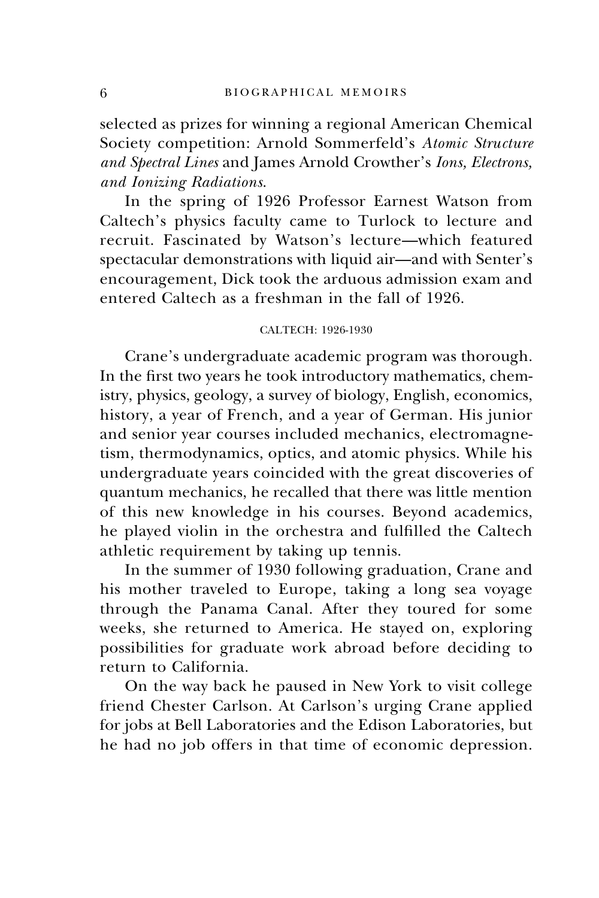selected as prizes for winning a regional American Chemical Society competition: Arnold Sommerfeld's *Atomic Structure and Spectral Lines* and James Arnold Crowther's *Ions, Electrons, and Ionizing Radiations*.

In the spring of 1926 Professor Earnest Watson from Caltech's physics faculty came to Turlock to lecture and recruit. Fascinated by Watson's lecture—which featured spectacular demonstrations with liquid air—and with Senter's encouragement, Dick took the arduous admission exam and entered Caltech as a freshman in the fall of 1926.

# CALTECH: 1926-1930

Crane's undergraduate academic program was thorough. In the first two years he took introductory mathematics, chemistry, physics, geology, a survey of biology, English, economics, history, a year of French, and a year of German. His junior and senior year courses included mechanics, electromagnetism, thermodynamics, optics, and atomic physics. While his undergraduate years coincided with the great discoveries of quantum mechanics, he recalled that there was little mention of this new knowledge in his courses. Beyond academics, he played violin in the orchestra and fulfilled the Caltech athletic requirement by taking up tennis.

In the summer of 1930 following graduation, Crane and his mother traveled to Europe, taking a long sea voyage through the Panama Canal. After they toured for some weeks, she returned to America. He stayed on, exploring possibilities for graduate work abroad before deciding to return to California.

On the way back he paused in New York to visit college friend Chester Carlson. At Carlson's urging Crane applied for jobs at Bell Laboratories and the Edison Laboratories, but he had no job offers in that time of economic depression.

6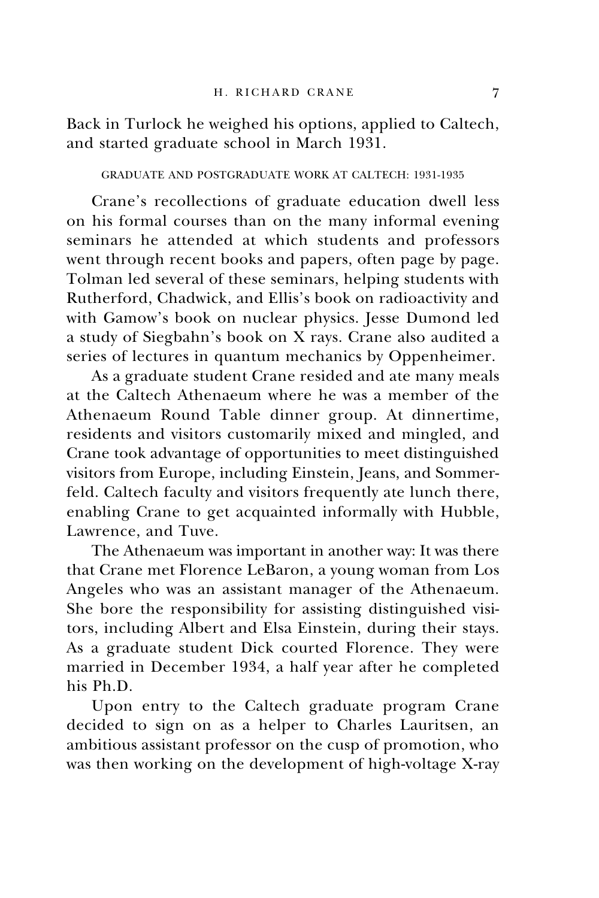Back in Turlock he weighed his options, applied to Caltech, and started graduate school in March 1931.

GRADUATE AND POSTGRADUATE WORK AT CALTECH: 1931-1935

Crane's recollections of graduate education dwell less on his formal courses than on the many informal evening seminars he attended at which students and professors went through recent books and papers, often page by page. Tolman led several of these seminars, helping students with Rutherford, Chadwick, and Ellis's book on radioactivity and with Gamow's book on nuclear physics. Jesse Dumond led a study of Siegbahn's book on X rays. Crane also audited a series of lectures in quantum mechanics by Oppenheimer.

As a graduate student Crane resided and ate many meals at the Caltech Athenaeum where he was a member of the Athenaeum Round Table dinner group. At dinnertime, residents and visitors customarily mixed and mingled, and Crane took advantage of opportunities to meet distinguished visitors from Europe, including Einstein, Jeans, and Sommerfeld. Caltech faculty and visitors frequently ate lunch there, enabling Crane to get acquainted informally with Hubble, Lawrence, and Tuve.

The Athenaeum was important in another way: It was there that Crane met Florence LeBaron, a young woman from Los Angeles who was an assistant manager of the Athenaeum. She bore the responsibility for assisting distinguished visitors, including Albert and Elsa Einstein, during their stays. As a graduate student Dick courted Florence. They were married in December 1934, a half year after he completed his Ph.D.

Upon entry to the Caltech graduate program Crane decided to sign on as a helper to Charles Lauritsen, an ambitious assistant professor on the cusp of promotion, who was then working on the development of high-voltage X-ray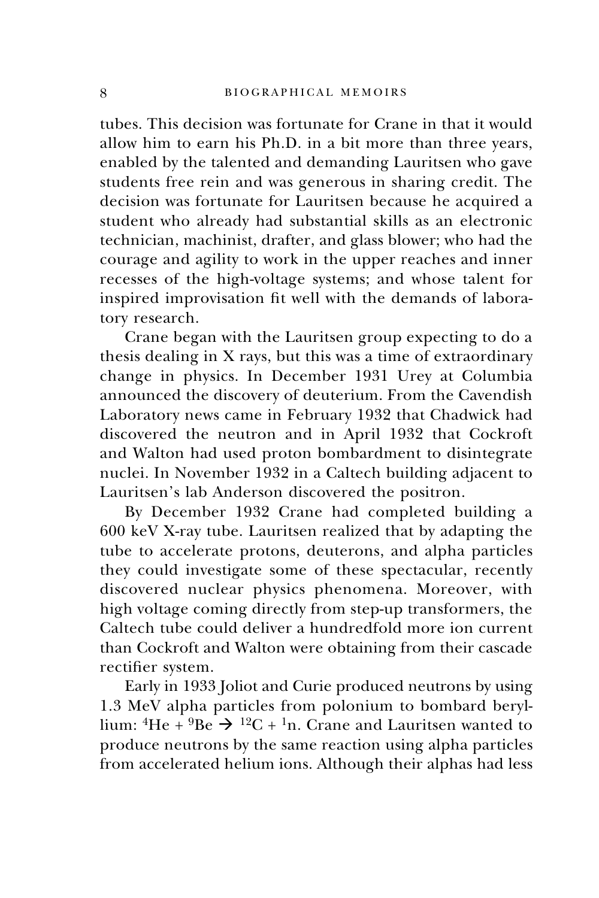tubes. This decision was fortunate for Crane in that it would allow him to earn his Ph.D. in a bit more than three years, enabled by the talented and demanding Lauritsen who gave students free rein and was generous in sharing credit. The decision was fortunate for Lauritsen because he acquired a student who already had substantial skills as an electronic technician, machinist, drafter, and glass blower; who had the courage and agility to work in the upper reaches and inner recesses of the high-voltage systems; and whose talent for inspired improvisation fit well with the demands of laboratory research.

Crane began with the Lauritsen group expecting to do a thesis dealing in X rays, but this was a time of extraordinary change in physics. In December 1931 Urey at Columbia announced the discovery of deuterium. From the Cavendish Laboratory news came in February 1932 that Chadwick had discovered the neutron and in April 1932 that Cockroft and Walton had used proton bombardment to disintegrate nuclei. In November 1932 in a Caltech building adjacent to Lauritsen's lab Anderson discovered the positron.

By December 1932 Crane had completed building a 600 keV X-ray tube. Lauritsen realized that by adapting the tube to accelerate protons, deuterons, and alpha particles they could investigate some of these spectacular, recently discovered nuclear physics phenomena. Moreover, with high voltage coming directly from step-up transformers, the Caltech tube could deliver a hundredfold more ion current than Cockroft and Walton were obtaining from their cascade rectifier system.

Early in 1933 Joliot and Curie produced neutrons by using 1.3 MeV alpha particles from polonium to bombard beryllium:  ${}^{4}$ He +  ${}^{9}$ Be  $\rightarrow$   ${}^{12}C$  +  ${}^{1}n$ . Crane and Lauritsen wanted to produce neutrons by the same reaction using alpha particles from accelerated helium ions. Although their alphas had less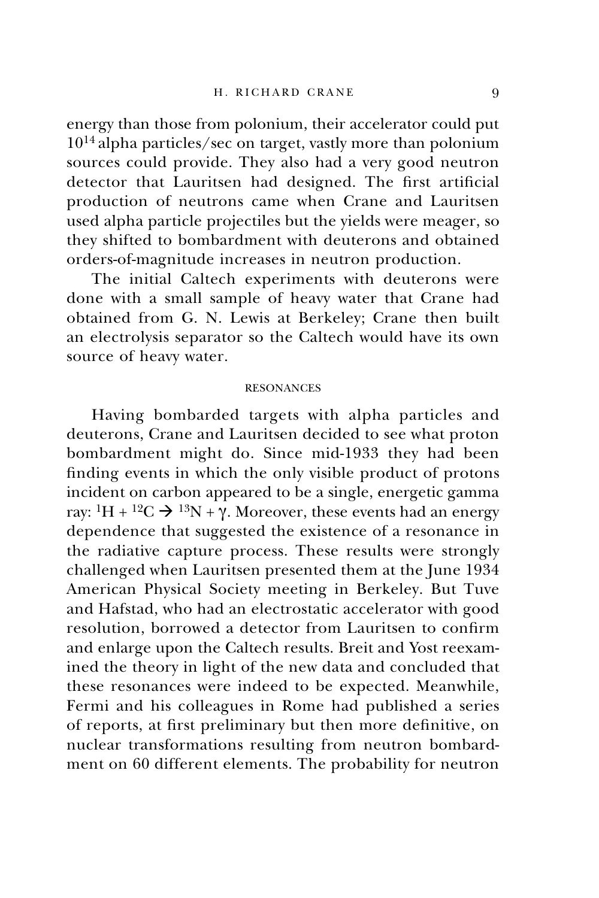energy than those from polonium, their accelerator could put 1014 alpha particles/sec on target, vastly more than polonium sources could provide. They also had a very good neutron detector that Lauritsen had designed. The first artificial production of neutrons came when Crane and Lauritsen used alpha particle projectiles but the yields were meager, so they shifted to bombardment with deuterons and obtained orders-of-magnitude increases in neutron production.

The initial Caltech experiments with deuterons were done with a small sample of heavy water that Crane had obtained from G. N. Lewis at Berkeley; Crane then built an electrolysis separator so the Caltech would have its own source of heavy water.

## RESONANCES

Having bombarded targets with alpha particles and deuterons, Crane and Lauritsen decided to see what proton bombardment might do. Since mid-1933 they had been finding events in which the only visible product of protons incident on carbon appeared to be a single, energetic gamma ray:  ${}^{1}H + {}^{12}C \rightarrow {}^{13}N + \gamma$ . Moreover, these events had an energy dependence that suggested the existence of a resonance in the radiative capture process. These results were strongly challenged when Lauritsen presented them at the June 1934 American Physical Society meeting in Berkeley. But Tuve and Hafstad, who had an electrostatic accelerator with good resolution, borrowed a detector from Lauritsen to confirm and enlarge upon the Caltech results. Breit and Yost reexamined the theory in light of the new data and concluded that these resonances were indeed to be expected. Meanwhile, Fermi and his colleagues in Rome had published a series of reports, at first preliminary but then more definitive, on nuclear transformations resulting from neutron bombardment on 60 different elements. The probability for neutron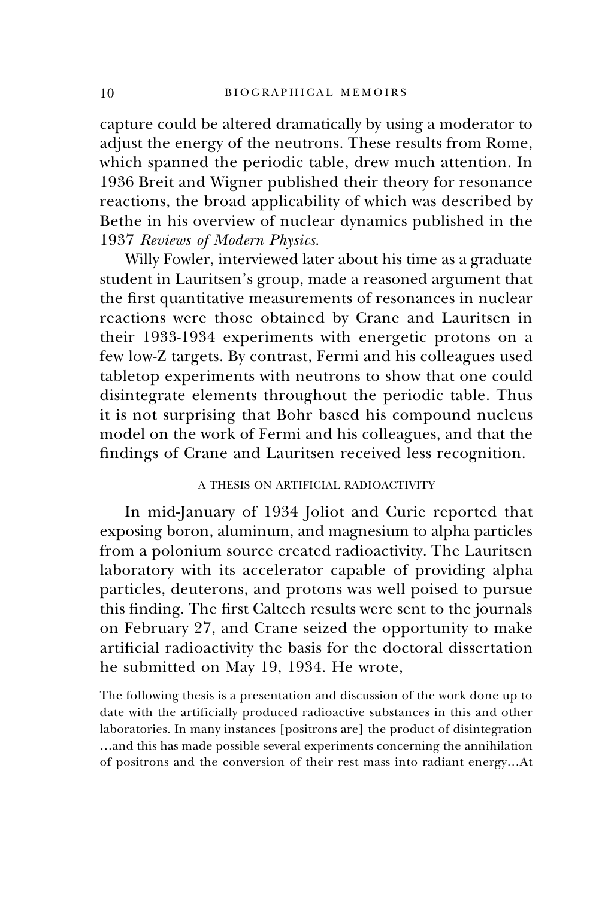capture could be altered dramatically by using a moderator to adjust the energy of the neutrons. These results from Rome, which spanned the periodic table, drew much attention. In 1936 Breit and Wigner published their theory for resonance reactions, the broad applicability of which was described by Bethe in his overview of nuclear dynamics published in the 1937 *Reviews of Modern Physics*.

Willy Fowler, interviewed later about his time as a graduate student in Lauritsen's group, made a reasoned argument that the first quantitative measurements of resonances in nuclear reactions were those obtained by Crane and Lauritsen in their 1933-1934 experiments with energetic protons on a few low-Z targets. By contrast, Fermi and his colleagues used tabletop experiments with neutrons to show that one could disintegrate elements throughout the periodic table. Thus it is not surprising that Bohr based his compound nucleus model on the work of Fermi and his colleagues, and that the findings of Crane and Lauritsen received less recognition.

# A THESIS ON ARTIFICIAL RADIOACTIVITY

In mid-January of 1934 Joliot and Curie reported that exposing boron, aluminum, and magnesium to alpha particles from a polonium source created radioactivity. The Lauritsen laboratory with its accelerator capable of providing alpha particles, deuterons, and protons was well poised to pursue this finding. The first Caltech results were sent to the journals on February 27, and Crane seized the opportunity to make artificial radioactivity the basis for the doctoral dissertation he submitted on May 19, 1934. He wrote,

The following thesis is a presentation and discussion of the work done up to date with the artificially produced radioactive substances in this and other laboratories. In many instances [positrons are] the product of disintegration …and this has made possible several experiments concerning the annihilation of positrons and the conversion of their rest mass into radiant energy…At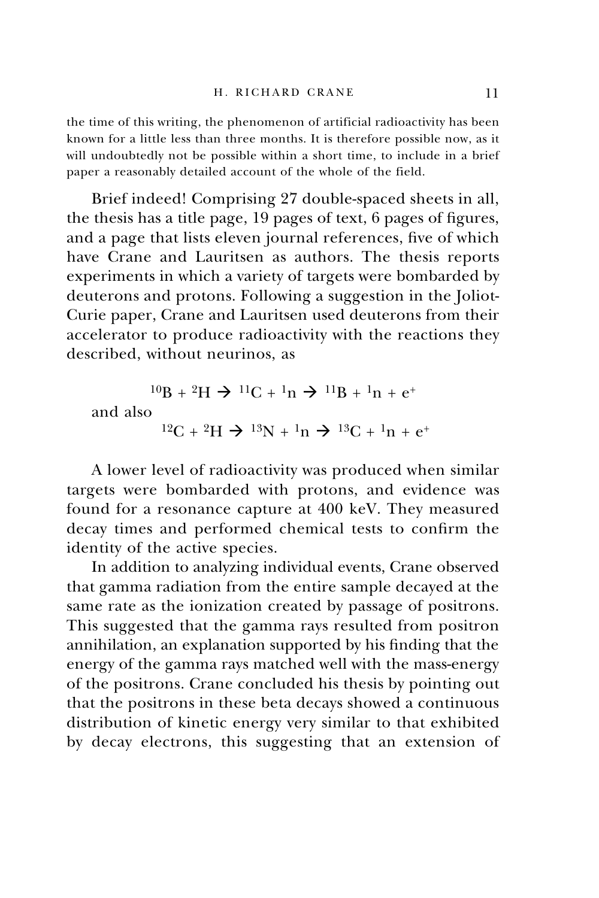the time of this writing, the phenomenon of artificial radioactivity has been known for a little less than three months. It is therefore possible now, as it will undoubtedly not be possible within a short time, to include in a brief paper a reasonably detailed account of the whole of the field.

Brief indeed! Comprising 27 double-spaced sheets in all, the thesis has a title page, 19 pages of text, 6 pages of figures, and a page that lists eleven journal references, five of which have Crane and Lauritsen as authors. The thesis reports experiments in which a variety of targets were bombarded by deuterons and protons. Following a suggestion in the Joliot-Curie paper, Crane and Lauritsen used deuterons from their accelerator to produce radioactivity with the reactions they described, without neurinos, as

$$
{}^{10}B + {}^{2}H \rightarrow {}^{11}C + {}^{1}n \rightarrow {}^{11}B + {}^{1}n + e^{+}
$$
  
and also  

$$
{}^{12}C + {}^{2}H \rightarrow {}^{13}N + {}^{1}n \rightarrow {}^{13}C + {}^{1}n + e^{+}
$$

A lower level of radioactivity was produced when similar targets were bombarded with protons, and evidence was found for a resonance capture at 400 keV. They measured decay times and performed chemical tests to confirm the identity of the active species.

In addition to analyzing individual events, Crane observed that gamma radiation from the entire sample decayed at the same rate as the ionization created by passage of positrons. This suggested that the gamma rays resulted from positron annihilation, an explanation supported by his finding that the energy of the gamma rays matched well with the mass-energy of the positrons. Crane concluded his thesis by pointing out that the positrons in these beta decays showed a continuous distribution of kinetic energy very similar to that exhibited by decay electrons, this suggesting that an extension of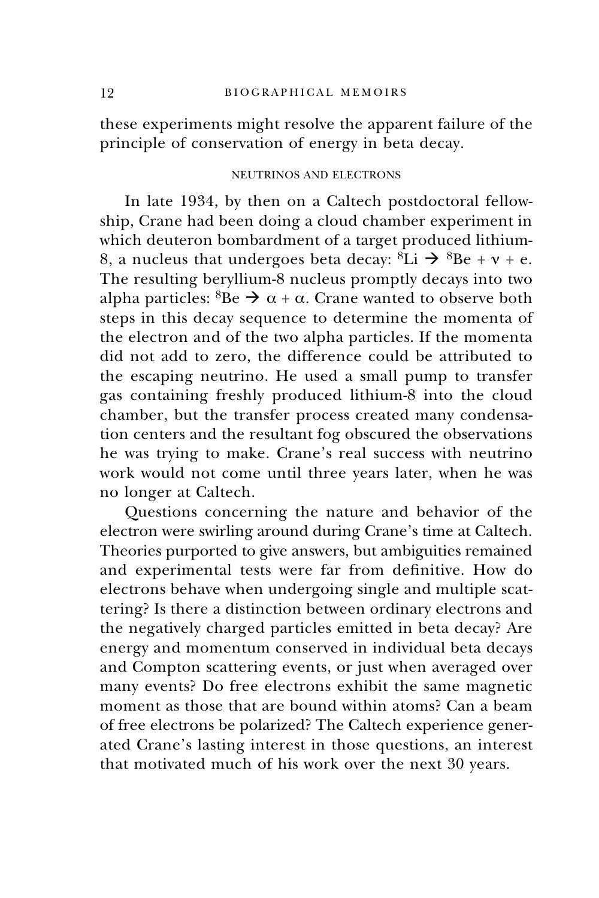these experiments might resolve the apparent failure of the principle of conservation of energy in beta decay.

# NEUTRINOS AND ELECTRONS

In late 1934, by then on a Caltech postdoctoral fellowship, Crane had been doing a cloud chamber experiment in which deuteron bombardment of a target produced lithium-8, a nucleus that undergoes beta decay:  ${}^{8}Li \rightarrow {}^{8}Be + v + e$ . The resulting beryllium-8 nucleus promptly decays into two alpha particles:  ${}^{8}Be \rightarrow \alpha + \alpha$ . Crane wanted to observe both steps in this decay sequence to determine the momenta of the electron and of the two alpha particles. If the momenta did not add to zero, the difference could be attributed to the escaping neutrino. He used a small pump to transfer gas containing freshly produced lithium-8 into the cloud chamber, but the transfer process created many condensation centers and the resultant fog obscured the observations he was trying to make. Crane's real success with neutrino work would not come until three years later, when he was no longer at Caltech.

Questions concerning the nature and behavior of the electron were swirling around during Crane's time at Caltech. Theories purported to give answers, but ambiguities remained and experimental tests were far from definitive. How do electrons behave when undergoing single and multiple scattering? Is there a distinction between ordinary electrons and the negatively charged particles emitted in beta decay? Are energy and momentum conserved in individual beta decays and Compton scattering events, or just when averaged over many events? Do free electrons exhibit the same magnetic moment as those that are bound within atoms? Can a beam of free electrons be polarized? The Caltech experience generated Crane's lasting interest in those questions, an interest that motivated much of his work over the next 30 years.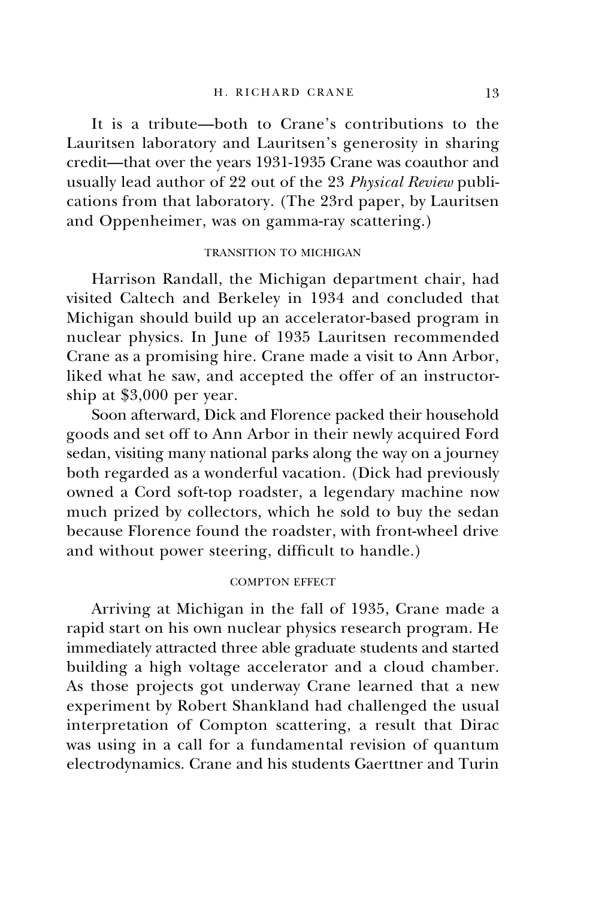It is a tribute—both to Crane's contributions to the Lauritsen laboratory and Lauritsen's generosity in sharing credit—that over the years 1931-1935 Crane was coauthor and usually lead author of 22 out of the 23 *Physical Review* publications from that laboratory. (The 23rd paper, by Lauritsen and Oppenheimer, was on gamma-ray scattering.)

# TRANSITION TO MICHIGAN

Harrison Randall, the Michigan department chair, had visited Caltech and Berkeley in 1934 and concluded that Michigan should build up an accelerator-based program in nuclear physics. In June of 1935 Lauritsen recommended Crane as a promising hire. Crane made a visit to Ann Arbor, liked what he saw, and accepted the offer of an instructorship at \$3,000 per year.

Soon afterward, Dick and Florence packed their household goods and set off to Ann Arbor in their newly acquired Ford sedan, visiting many national parks along the way on a journey both regarded as a wonderful vacation. (Dick had previously owned a Cord soft-top roadster, a legendary machine now much prized by collectors, which he sold to buy the sedan because Florence found the roadster, with front-wheel drive and without power steering, difficult to handle.)

### COMPTON EFFECT

Arriving at Michigan in the fall of 1935, Crane made a rapid start on his own nuclear physics research program. He immediately attracted three able graduate students and started building a high voltage accelerator and a cloud chamber. As those projects got underway Crane learned that a new experiment by Robert Shankland had challenged the usual interpretation of Compton scattering, a result that Dirac was using in a call for a fundamental revision of quantum electrodynamics. Crane and his students Gaerttner and Turin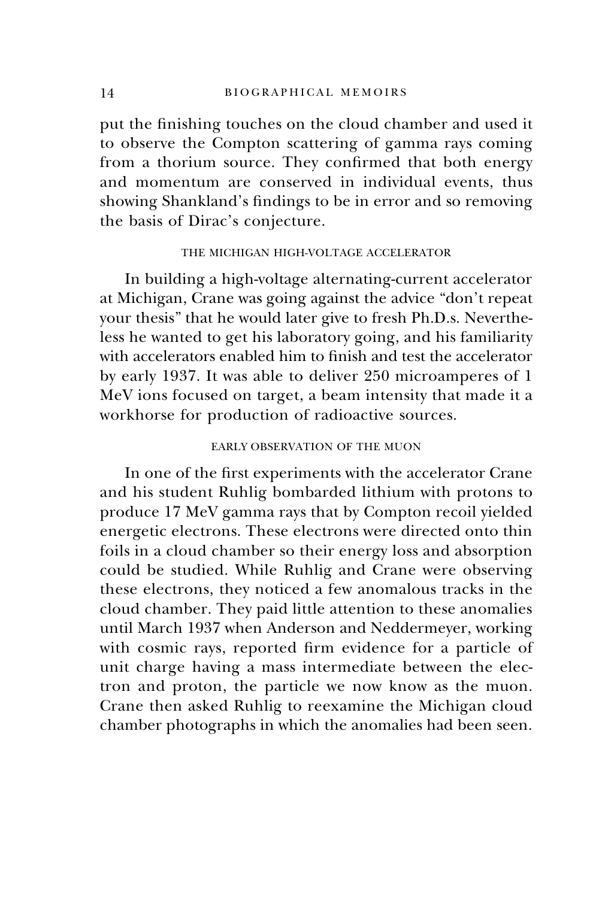put the finishing touches on the cloud chamber and used it to observe the Compton scattering of gamma rays coming from a thorium source. They confirmed that both energy and momentum are conserved in individual events, thus showing Shankland's findings to be in error and so removing the basis of Dirac's conjecture.

# THE MICHIGAN HIGH-VOLTAGE ACCELERATOR

In building a high-voltage alternating-current accelerator at Michigan, Crane was going against the advice "don't repeat your thesis" that he would later give to fresh Ph.D.s. Nevertheless he wanted to get his laboratory going, and his familiarity with accelerators enabled him to finish and test the accelerator by early 1937. It was able to deliver 250 microamperes of 1 MeV ions focused on target, a beam intensity that made it a workhorse for production of radioactive sources.

# EARLY OBSERVATION OF THE MUON

In one of the first experiments with the accelerator Crane and his student Ruhlig bombarded lithium with protons to produce 17 MeV gamma rays that by Compton recoil yielded energetic electrons. These electrons were directed onto thin foils in a cloud chamber so their energy loss and absorption could be studied. While Ruhlig and Crane were observing these electrons, they noticed a few anomalous tracks in the cloud chamber. They paid little attention to these anomalies until March 1937 when Anderson and Neddermeyer, working with cosmic rays, reported firm evidence for a particle of unit charge having a mass intermediate between the electron and proton, the particle we now know as the muon. Crane then asked Ruhlig to reexamine the Michigan cloud chamber photographs in which the anomalies had been seen.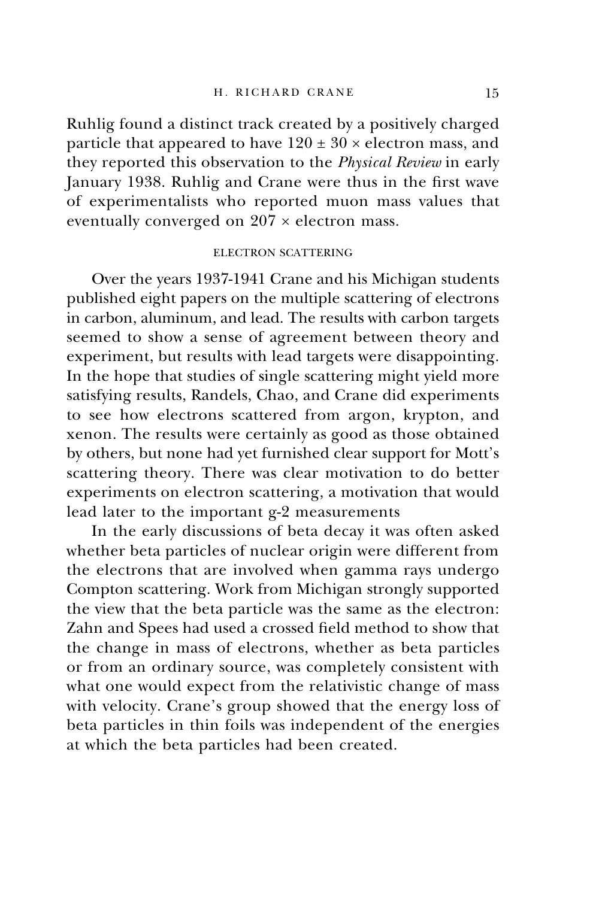Ruhlig found a distinct track created by a positively charged particle that appeared to have  $120 \pm 30 \times$  electron mass, and they reported this observation to the *Physical Review* in early January 1938. Ruhlig and Crane were thus in the first wave of experimentalists who reported muon mass values that eventually converged on  $207 \times$  electron mass.

# ELECTRON SCATTERING

Over the years 1937-1941 Crane and his Michigan students published eight papers on the multiple scattering of electrons in carbon, aluminum, and lead. The results with carbon targets seemed to show a sense of agreement between theory and experiment, but results with lead targets were disappointing. In the hope that studies of single scattering might yield more satisfying results, Randels, Chao, and Crane did experiments to see how electrons scattered from argon, krypton, and xenon. The results were certainly as good as those obtained by others, but none had yet furnished clear support for Mott's scattering theory. There was clear motivation to do better experiments on electron scattering, a motivation that would lead later to the important g-2 measurements

In the early discussions of beta decay it was often asked whether beta particles of nuclear origin were different from the electrons that are involved when gamma rays undergo Compton scattering. Work from Michigan strongly supported the view that the beta particle was the same as the electron: Zahn and Spees had used a crossed field method to show that the change in mass of electrons, whether as beta particles or from an ordinary source, was completely consistent with what one would expect from the relativistic change of mass with velocity. Crane's group showed that the energy loss of beta particles in thin foils was independent of the energies at which the beta particles had been created.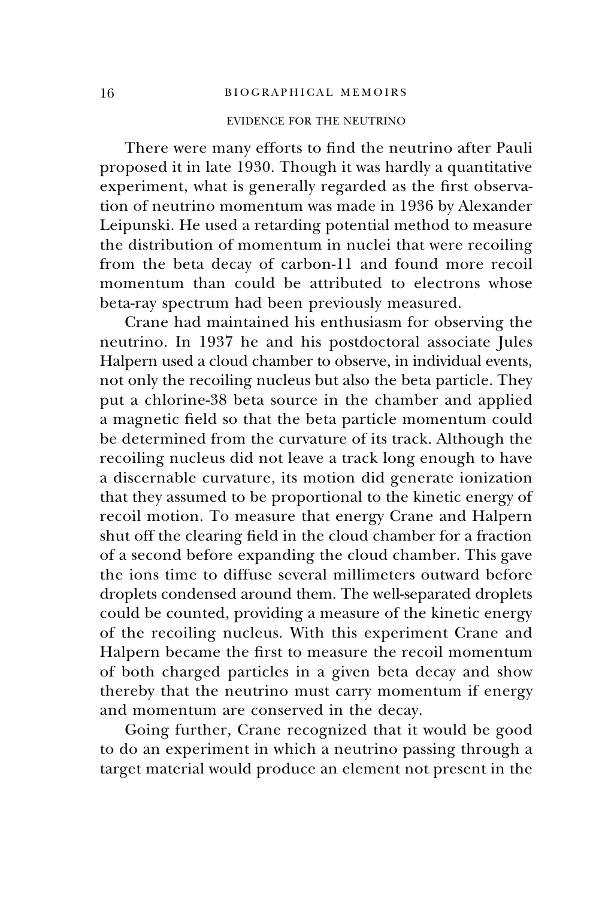# EVIDENCE FOR THE NEUTRINO

There were many efforts to find the neutrino after Pauli proposed it in late 1930. Though it was hardly a quantitative experiment, what is generally regarded as the first observation of neutrino momentum was made in 1936 by Alexander Leipunski. He used a retarding potential method to measure the distribution of momentum in nuclei that were recoiling from the beta decay of carbon-11 and found more recoil momentum than could be attributed to electrons whose beta-ray spectrum had been previously measured.

Crane had maintained his enthusiasm for observing the neutrino. In 1937 he and his postdoctoral associate Jules Halpern used a cloud chamber to observe, in individual events, not only the recoiling nucleus but also the beta particle. They put a chlorine-38 beta source in the chamber and applied a magnetic field so that the beta particle momentum could be determined from the curvature of its track. Although the recoiling nucleus did not leave a track long enough to have a discernable curvature, its motion did generate ionization that they assumed to be proportional to the kinetic energy of recoil motion. To measure that energy Crane and Halpern shut off the clearing field in the cloud chamber for a fraction of a second before expanding the cloud chamber. This gave the ions time to diffuse several millimeters outward before droplets condensed around them. The well-separated droplets could be counted, providing a measure of the kinetic energy of the recoiling nucleus. With this experiment Crane and Halpern became the first to measure the recoil momentum of both charged particles in a given beta decay and show thereby that the neutrino must carry momentum if energy and momentum are conserved in the decay.

Going further, Crane recognized that it would be good to do an experiment in which a neutrino passing through a target material would produce an element not present in the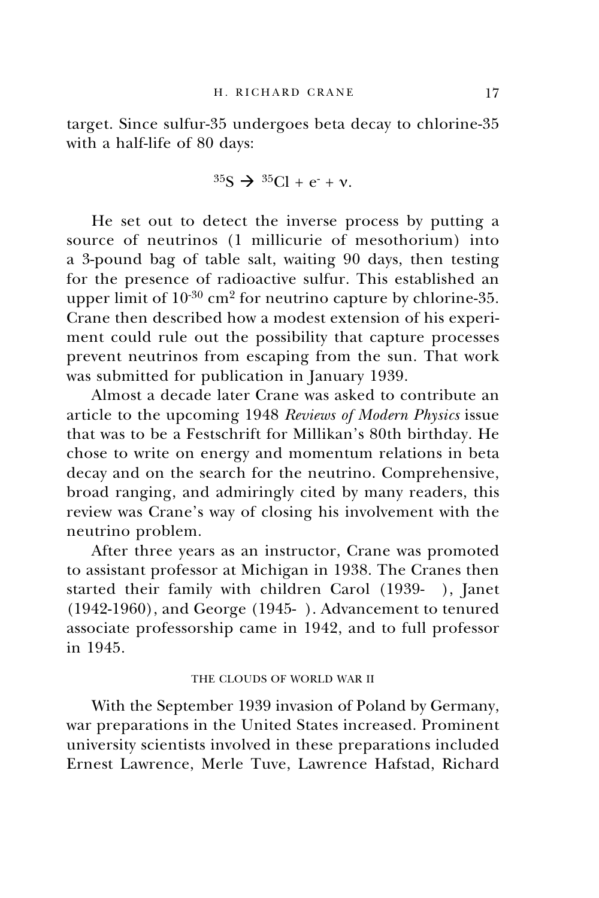target. Since sulfur-35 undergoes beta decay to chlorine-35 with a half-life of 80 days:

$$
^{35}S \rightarrow ^{35}Cl + e^- + \nu.
$$

He set out to detect the inverse process by putting a source of neutrinos (1 millicurie of mesothorium) into a 3-pound bag of table salt, waiting 90 days, then testing for the presence of radioactive sulfur. This established an upper limit of  $10^{-30}$  cm<sup>2</sup> for neutrino capture by chlorine-35. Crane then described how a modest extension of his experiment could rule out the possibility that capture processes prevent neutrinos from escaping from the sun. That work was submitted for publication in January 1939.

Almost a decade later Crane was asked to contribute an article to the upcoming 1948 *Reviews of Modern Physics* issue that was to be a Festschrift for Millikan's 80th birthday. He chose to write on energy and momentum relations in beta decay and on the search for the neutrino. Comprehensive, broad ranging, and admiringly cited by many readers, this review was Crane's way of closing his involvement with the neutrino problem.

After three years as an instructor, Crane was promoted to assistant professor at Michigan in 1938. The Cranes then started their family with children Carol (1939- ), Janet (1942-1960), and George (1945- ). Advancement to tenured associate professorship came in 1942, and to full professor in 1945.

# THE CLOUDS OF WORLD WAR II

With the September 1939 invasion of Poland by Germany, war preparations in the United States increased. Prominent university scientists involved in these preparations included Ernest Lawrence, Merle Tuve, Lawrence Hafstad, Richard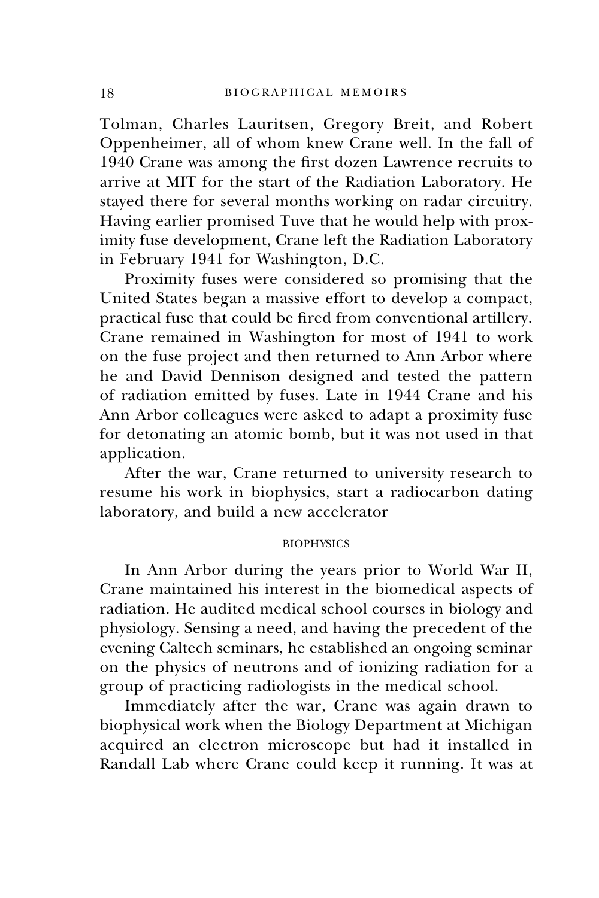Tolman, Charles Lauritsen, Gregory Breit, and Robert Oppenheimer, all of whom knew Crane well. In the fall of 1940 Crane was among the first dozen Lawrence recruits to arrive at MIT for the start of the Radiation Laboratory. He stayed there for several months working on radar circuitry. Having earlier promised Tuve that he would help with proximity fuse development, Crane left the Radiation Laboratory in February 1941 for Washington, D.C.

Proximity fuses were considered so promising that the United States began a massive effort to develop a compact, practical fuse that could be fired from conventional artillery. Crane remained in Washington for most of 1941 to work on the fuse project and then returned to Ann Arbor where he and David Dennison designed and tested the pattern of radiation emitted by fuses. Late in 1944 Crane and his Ann Arbor colleagues were asked to adapt a proximity fuse for detonating an atomic bomb, but it was not used in that application.

After the war, Crane returned to university research to resume his work in biophysics, start a radiocarbon dating laboratory, and build a new accelerator

# **BIOPHYSICS**

In Ann Arbor during the years prior to World War II, Crane maintained his interest in the biomedical aspects of radiation. He audited medical school courses in biology and physiology. Sensing a need, and having the precedent of the evening Caltech seminars, he established an ongoing seminar on the physics of neutrons and of ionizing radiation for a group of practicing radiologists in the medical school.

Immediately after the war, Crane was again drawn to biophysical work when the Biology Department at Michigan acquired an electron microscope but had it installed in Randall Lab where Crane could keep it running. It was at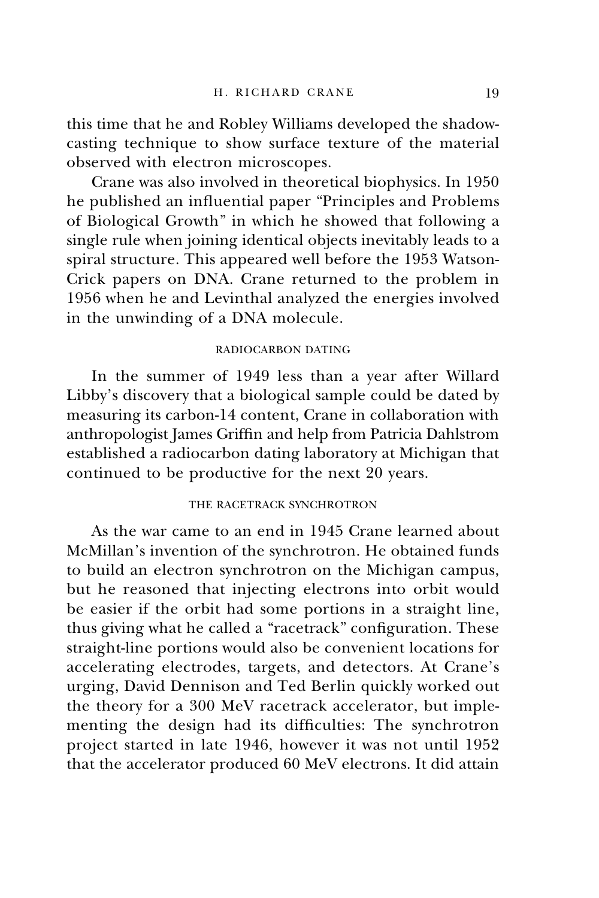this time that he and Robley Williams developed the shadowcasting technique to show surface texture of the material observed with electron microscopes.

Crane was also involved in theoretical biophysics. In 1950 he published an influential paper "Principles and Problems of Biological Growth" in which he showed that following a single rule when joining identical objects inevitably leads to a spiral structure. This appeared well before the 1953 Watson-Crick papers on DNA. Crane returned to the problem in 1956 when he and Levinthal analyzed the energies involved in the unwinding of a DNA molecule.

### RADIOCARBON DATING

In the summer of 1949 less than a year after Willard Libby's discovery that a biological sample could be dated by measuring its carbon-14 content, Crane in collaboration with anthropologist James Griffin and help from Patricia Dahlstrom established a radiocarbon dating laboratory at Michigan that continued to be productive for the next 20 years.

# THE RACETRACK SYNCHROTRON

As the war came to an end in 1945 Crane learned about McMillan's invention of the synchrotron. He obtained funds to build an electron synchrotron on the Michigan campus, but he reasoned that injecting electrons into orbit would be easier if the orbit had some portions in a straight line, thus giving what he called a "racetrack" configuration. These straight-line portions would also be convenient locations for accelerating electrodes, targets, and detectors. At Crane's urging, David Dennison and Ted Berlin quickly worked out the theory for a 300 MeV racetrack accelerator, but implementing the design had its difficulties: The synchrotron project started in late 1946, however it was not until 1952 that the accelerator produced 60 MeV electrons. It did attain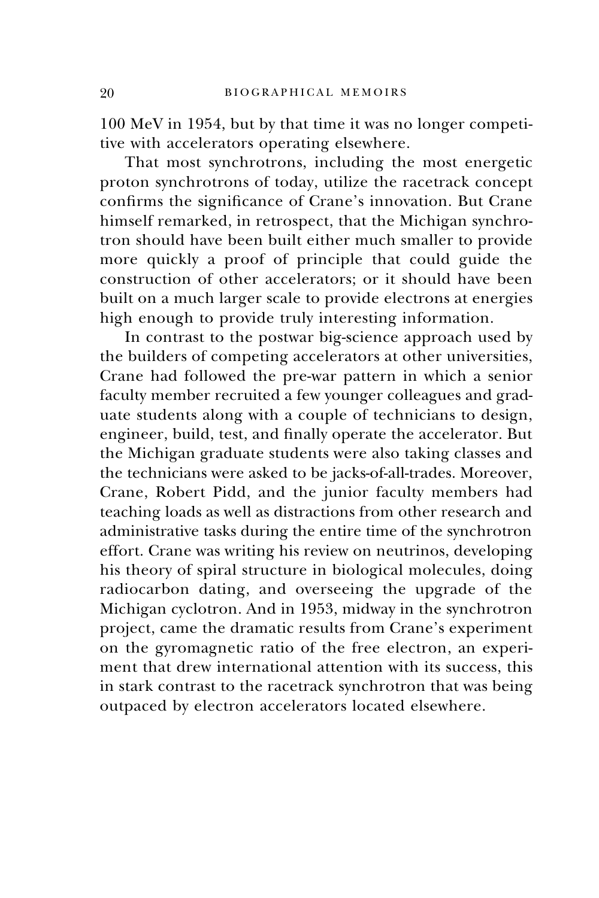100 MeV in 1954, but by that time it was no longer competitive with accelerators operating elsewhere.

That most synchrotrons, including the most energetic proton synchrotrons of today, utilize the racetrack concept confirms the significance of Crane's innovation. But Crane himself remarked, in retrospect, that the Michigan synchrotron should have been built either much smaller to provide more quickly a proof of principle that could guide the construction of other accelerators; or it should have been built on a much larger scale to provide electrons at energies high enough to provide truly interesting information.

In contrast to the postwar big-science approach used by the builders of competing accelerators at other universities, Crane had followed the pre-war pattern in which a senior faculty member recruited a few younger colleagues and graduate students along with a couple of technicians to design, engineer, build, test, and finally operate the accelerator. But the Michigan graduate students were also taking classes and the technicians were asked to be jacks-of-all-trades. Moreover, Crane, Robert Pidd, and the junior faculty members had teaching loads as well as distractions from other research and administrative tasks during the entire time of the synchrotron effort. Crane was writing his review on neutrinos, developing his theory of spiral structure in biological molecules, doing radiocarbon dating, and overseeing the upgrade of the Michigan cyclotron. And in 1953, midway in the synchrotron project, came the dramatic results from Crane's experiment on the gyromagnetic ratio of the free electron, an experiment that drew international attention with its success, this in stark contrast to the racetrack synchrotron that was being outpaced by electron accelerators located elsewhere.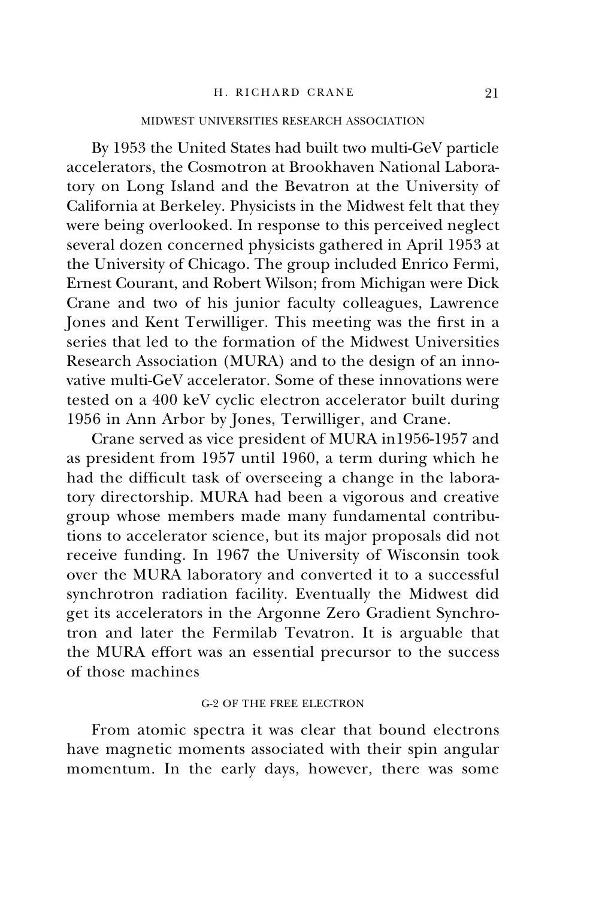### H. RICHARD CRANE 91

# MIDWEST UNIVERSITIES RESEARCH ASSOCIATION

By 1953 the United States had built two multi-GeV particle accelerators, the Cosmotron at Brookhaven National Laboratory on Long Island and the Bevatron at the University of California at Berkeley. Physicists in the Midwest felt that they were being overlooked. In response to this perceived neglect several dozen concerned physicists gathered in April 1953 at the University of Chicago. The group included Enrico Fermi, Ernest Courant, and Robert Wilson; from Michigan were Dick Crane and two of his junior faculty colleagues, Lawrence Jones and Kent Terwilliger. This meeting was the first in a series that led to the formation of the Midwest Universities Research Association (MURA) and to the design of an innovative multi-GeV accelerator. Some of these innovations were tested on a 400 keV cyclic electron accelerator built during 1956 in Ann Arbor by Jones, Terwilliger, and Crane.

Crane served as vice president of MURA in1956-1957 and as president from 1957 until 1960, a term during which he had the difficult task of overseeing a change in the laboratory directorship. MURA had been a vigorous and creative group whose members made many fundamental contributions to accelerator science, but its major proposals did not receive funding. In 1967 the University of Wisconsin took over the MURA laboratory and converted it to a successful synchrotron radiation facility. Eventually the Midwest did get its accelerators in the Argonne Zero Gradient Synchrotron and later the Fermilab Tevatron. It is arguable that the MURA effort was an essential precursor to the success of those machines

### g-2 OF THE FREE ELECTRON

From atomic spectra it was clear that bound electrons have magnetic moments associated with their spin angular momentum. In the early days, however, there was some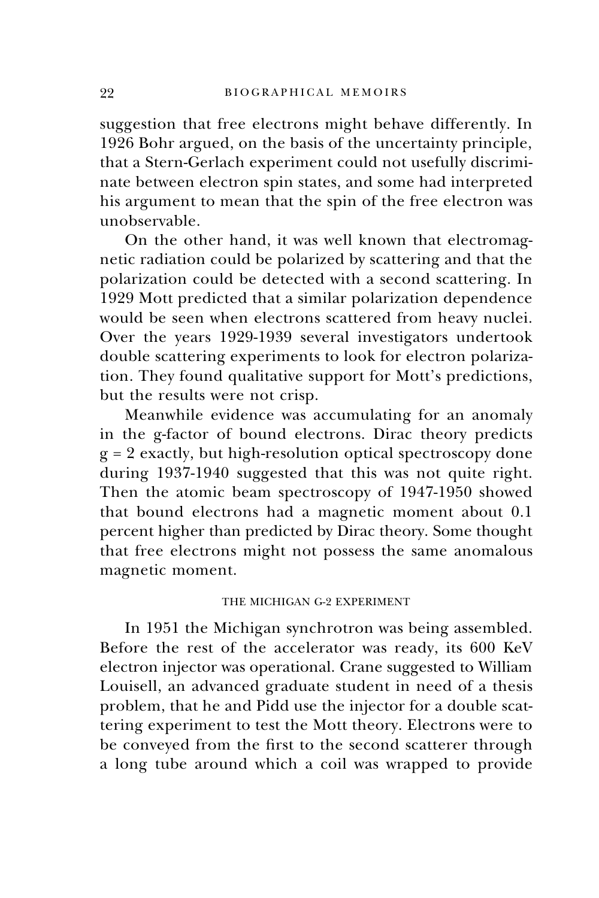suggestion that free electrons might behave differently. In 1926 Bohr argued, on the basis of the uncertainty principle, that a Stern-Gerlach experiment could not usefully discriminate between electron spin states, and some had interpreted his argument to mean that the spin of the free electron was unobservable.

On the other hand, it was well known that electromagnetic radiation could be polarized by scattering and that the polarization could be detected with a second scattering. In 1929 Mott predicted that a similar polarization dependence would be seen when electrons scattered from heavy nuclei. Over the years 1929-1939 several investigators undertook double scattering experiments to look for electron polarization. They found qualitative support for Mott's predictions, but the results were not crisp.

Meanwhile evidence was accumulating for an anomaly in the g-factor of bound electrons. Dirac theory predicts g = 2 exactly, but high-resolution optical spectroscopy done during 1937-1940 suggested that this was not quite right. Then the atomic beam spectroscopy of 1947-1950 showed that bound electrons had a magnetic moment about 0.1 percent higher than predicted by Dirac theory. Some thought that free electrons might not possess the same anomalous magnetic moment.

# THE MICHIGAN G-2 EXPERIMENT

In 1951 the Michigan synchrotron was being assembled. Before the rest of the accelerator was ready, its 600 KeV electron injector was operational. Crane suggested to William Louisell, an advanced graduate student in need of a thesis problem, that he and Pidd use the injector for a double scattering experiment to test the Mott theory. Electrons were to be conveyed from the first to the second scatterer through a long tube around which a coil was wrapped to provide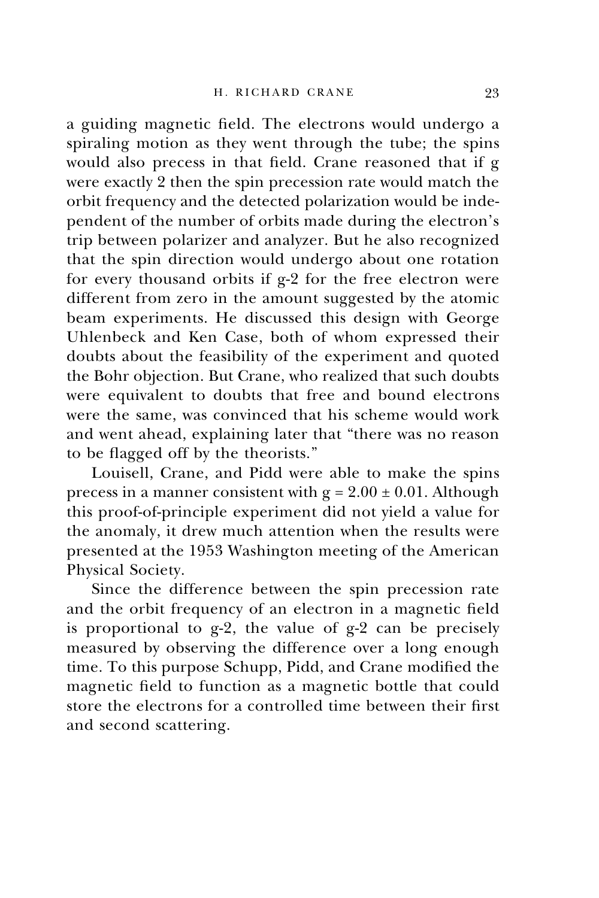a guiding magnetic field. The electrons would undergo a spiraling motion as they went through the tube; the spins would also precess in that field. Crane reasoned that if g were exactly 2 then the spin precession rate would match the orbit frequency and the detected polarization would be independent of the number of orbits made during the electron's trip between polarizer and analyzer. But he also recognized that the spin direction would undergo about one rotation for every thousand orbits if g-2 for the free electron were different from zero in the amount suggested by the atomic beam experiments. He discussed this design with George Uhlenbeck and Ken Case, both of whom expressed their doubts about the feasibility of the experiment and quoted the Bohr objection. But Crane, who realized that such doubts were equivalent to doubts that free and bound electrons were the same, was convinced that his scheme would work and went ahead, explaining later that "there was no reason to be flagged off by the theorists."

Louisell, Crane, and Pidd were able to make the spins precess in a manner consistent with  $g = 2.00 \pm 0.01$ . Although this proof-of-principle experiment did not yield a value for the anomaly, it drew much attention when the results were presented at the 1953 Washington meeting of the American Physical Society.

Since the difference between the spin precession rate and the orbit frequency of an electron in a magnetic field is proportional to g-2, the value of g-2 can be precisely measured by observing the difference over a long enough time. To this purpose Schupp, Pidd, and Crane modified the magnetic field to function as a magnetic bottle that could store the electrons for a controlled time between their first and second scattering.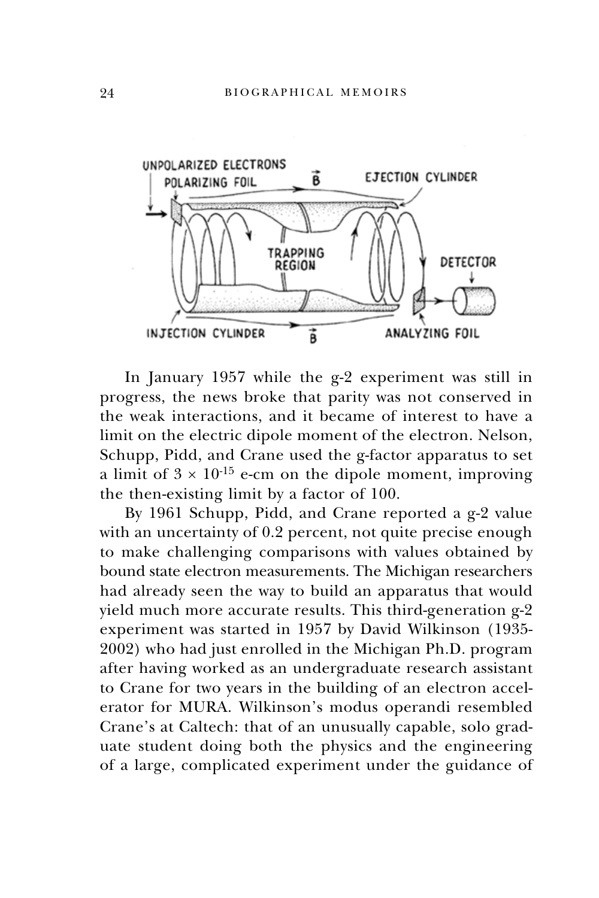

In January 1957 while the g-2 experiment was still in progress, the news broke that parity was not conserved in the weak interactions, and it became of interest to have a limit on the electric dipole moment of the electron. Nelson, Schupp, Pidd, and Crane used the g-factor apparatus to set a limit of  $3 \times 10^{-15}$  e-cm on the dipole moment, improving the then-existing limit by a factor of 100.

By 1961 Schupp, Pidd, and Crane reported a g-2 value with an uncertainty of 0.2 percent, not quite precise enough to make challenging comparisons with values obtained by bound state electron measurements. The Michigan researchers had already seen the way to build an apparatus that would yield much more accurate results. This third-generation g-2 experiment was started in 1957 by David Wilkinson (1935- 2002) who had just enrolled in the Michigan Ph.D. program after having worked as an undergraduate research assistant to Crane for two years in the building of an electron accelerator for MURA. Wilkinson's modus operandi resembled Crane's at Caltech: that of an unusually capable, solo graduate student doing both the physics and the engineering of a large, complicated experiment under the guidance of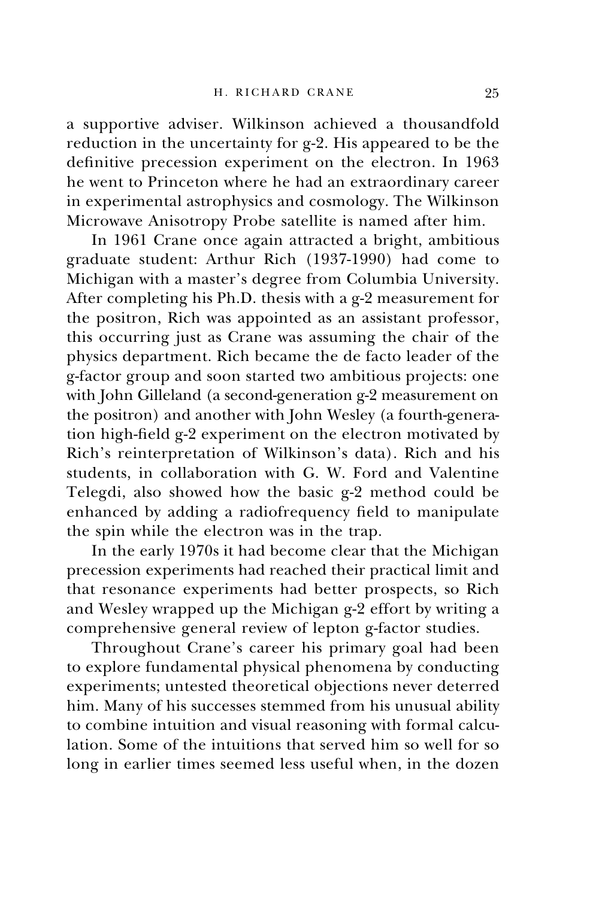a supportive adviser. Wilkinson achieved a thousandfold reduction in the uncertainty for g-2. His appeared to be the definitive precession experiment on the electron. In 1963 he went to Princeton where he had an extraordinary career in experimental astrophysics and cosmology. The Wilkinson Microwave Anisotropy Probe satellite is named after him.

In 1961 Crane once again attracted a bright, ambitious graduate student: Arthur Rich (1937-1990) had come to Michigan with a master's degree from Columbia University. After completing his Ph.D. thesis with a g-2 measurement for the positron, Rich was appointed as an assistant professor, this occurring just as Crane was assuming the chair of the physics department. Rich became the de facto leader of the g-factor group and soon started two ambitious projects: one with John Gilleland (a second-generation g-2 measurement on the positron) and another with John Wesley (a fourth-generation high-field g-2 experiment on the electron motivated by Rich's reinterpretation of Wilkinson's data). Rich and his students, in collaboration with G. W. Ford and Valentine Telegdi, also showed how the basic g-2 method could be enhanced by adding a radiofrequency field to manipulate the spin while the electron was in the trap.

In the early 1970s it had become clear that the Michigan precession experiments had reached their practical limit and that resonance experiments had better prospects, so Rich and Wesley wrapped up the Michigan g-2 effort by writing a comprehensive general review of lepton g-factor studies.

Throughout Crane's career his primary goal had been to explore fundamental physical phenomena by conducting experiments; untested theoretical objections never deterred him. Many of his successes stemmed from his unusual ability to combine intuition and visual reasoning with formal calculation. Some of the intuitions that served him so well for so long in earlier times seemed less useful when, in the dozen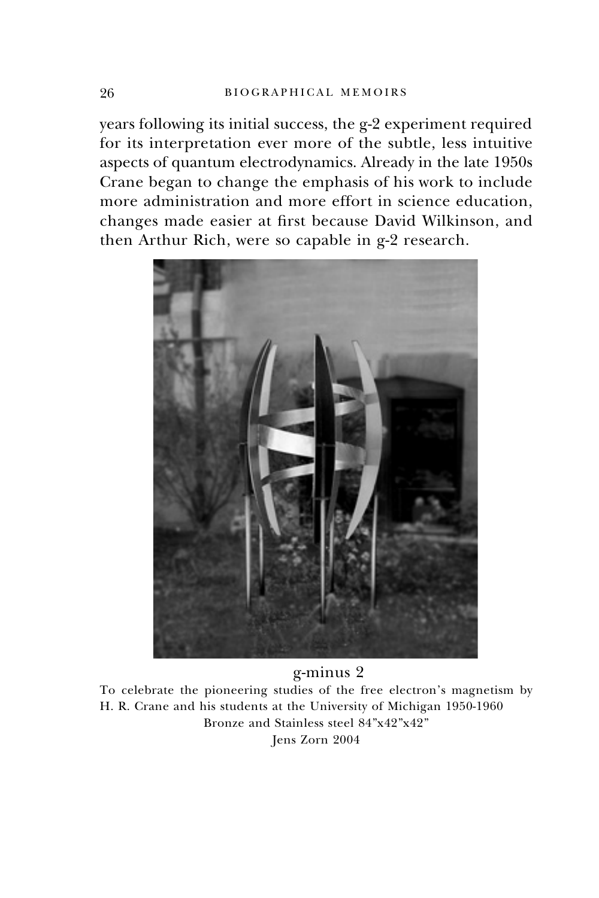years following its initial success, the g-2 experiment required for its interpretation ever more of the subtle, less intuitive aspects of quantum electrodynamics. Already in the late 1950s Crane began to change the emphasis of his work to include more administration and more effort in science education, changes made easier at first because David Wilkinson, and then Arthur Rich, were so capable in g-2 research.



# g-minus 2

To celebrate the pioneering studies of the free electron's magnetism by H. R. Crane and his students at the University of Michigan 1950-1960 Bronze and Stainless steel 84"x42"x42" Jens Zorn 2004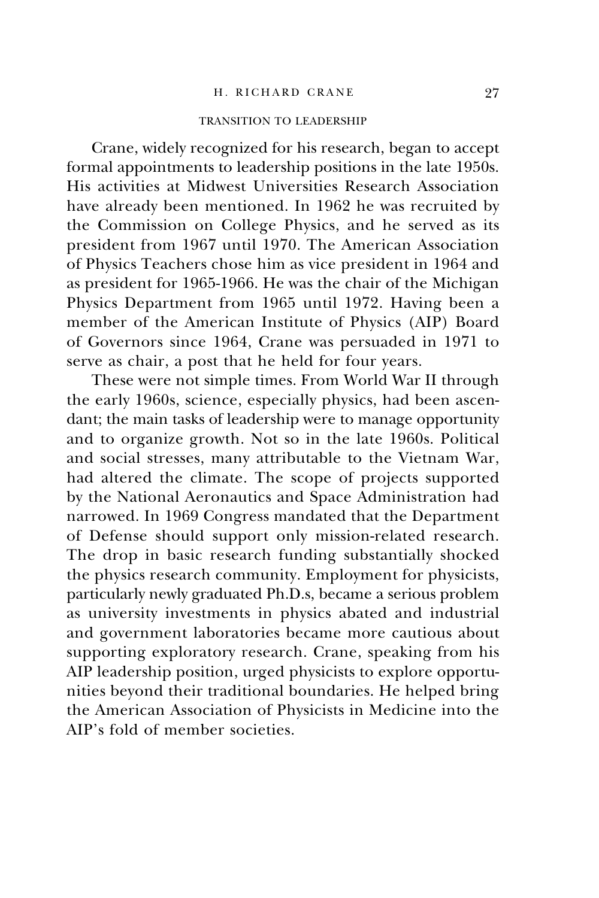### H. RICHARD CRANE 97

# TRANSITION TO LEADERSHIP

Crane, widely recognized for his research, began to accept formal appointments to leadership positions in the late 1950s. His activities at Midwest Universities Research Association have already been mentioned. In 1962 he was recruited by the Commission on College Physics, and he served as its president from 1967 until 1970. The American Association of Physics Teachers chose him as vice president in 1964 and as president for 1965-1966. He was the chair of the Michigan Physics Department from 1965 until 1972. Having been a member of the American Institute of Physics (AIP) Board of Governors since 1964, Crane was persuaded in 1971 to serve as chair, a post that he held for four years.

These were not simple times. From World War II through the early 1960s, science, especially physics, had been ascendant; the main tasks of leadership were to manage opportunity and to organize growth. Not so in the late 1960s. Political and social stresses, many attributable to the Vietnam War, had altered the climate. The scope of projects supported by the National Aeronautics and Space Administration had narrowed. In 1969 Congress mandated that the Department of Defense should support only mission-related research. The drop in basic research funding substantially shocked the physics research community. Employment for physicists, particularly newly graduated Ph.D.s, became a serious problem as university investments in physics abated and industrial and government laboratories became more cautious about supporting exploratory research. Crane, speaking from his AIP leadership position, urged physicists to explore opportunities beyond their traditional boundaries. He helped bring the American Association of Physicists in Medicine into the AIP's fold of member societies.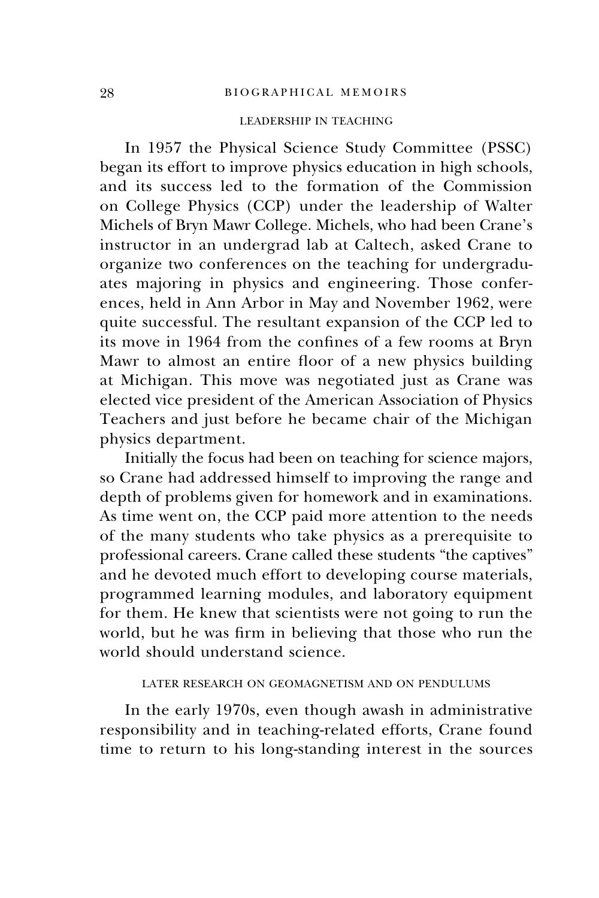# LEADERSHIP IN TEACHING

In 1957 the Physical Science Study Committee (PSSC) began its effort to improve physics education in high schools, and its success led to the formation of the Commission on College Physics (CCP) under the leadership of Walter Michels of Bryn Mawr College. Michels, who had been Crane's instructor in an undergrad lab at Caltech, asked Crane to organize two conferences on the teaching for undergraduates majoring in physics and engineering. Those conferences, held in Ann Arbor in May and November 1962, were quite successful. The resultant expansion of the CCP led to its move in 1964 from the confines of a few rooms at Bryn Mawr to almost an entire floor of a new physics building at Michigan. This move was negotiated just as Crane was elected vice president of the American Association of Physics Teachers and just before he became chair of the Michigan physics department.

Initially the focus had been on teaching for science majors, so Crane had addressed himself to improving the range and depth of problems given for homework and in examinations. As time went on, the CCP paid more attention to the needs of the many students who take physics as a prerequisite to professional careers. Crane called these students "the captives" and he devoted much effort to developing course materials, programmed learning modules, and laboratory equipment for them. He knew that scientists were not going to run the world, but he was firm in believing that those who run the world should understand science.

# LATER RESEARCH ON GEOMAGNETISM AND ON PENDULUMS

In the early 1970s, even though awash in administrative responsibility and in teaching-related efforts, Crane found time to return to his long-standing interest in the sources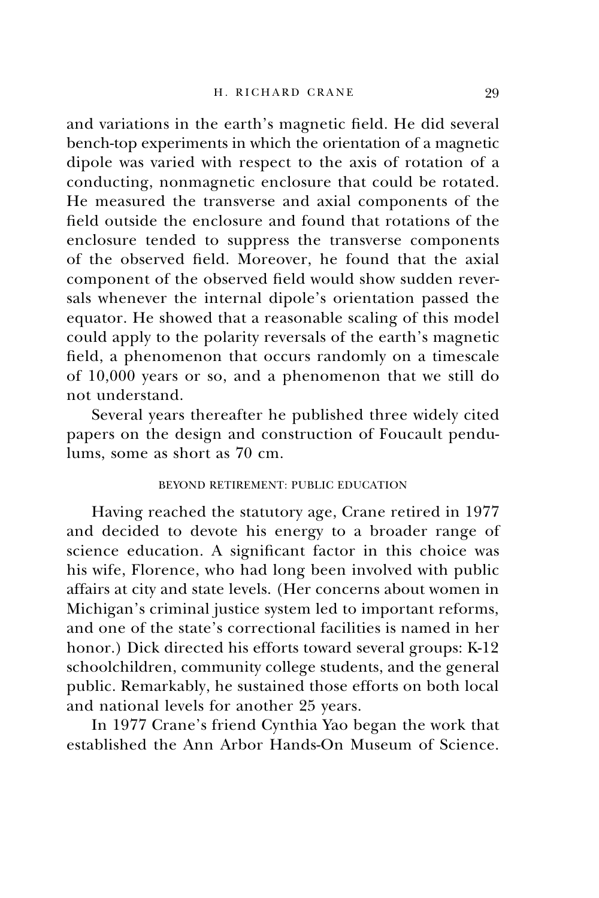and variations in the earth's magnetic field. He did several bench-top experiments in which the orientation of a magnetic dipole was varied with respect to the axis of rotation of a conducting, nonmagnetic enclosure that could be rotated. He measured the transverse and axial components of the field outside the enclosure and found that rotations of the enclosure tended to suppress the transverse components of the observed field. Moreover, he found that the axial component of the observed field would show sudden reversals whenever the internal dipole's orientation passed the equator. He showed that a reasonable scaling of this model could apply to the polarity reversals of the earth's magnetic field, a phenomenon that occurs randomly on a timescale of 10,000 years or so, and a phenomenon that we still do not understand.

Several years thereafter he published three widely cited papers on the design and construction of Foucault pendulums, some as short as 70 cm.

# BEYOND RETIREMENT: PUBLIC EDUCATION

Having reached the statutory age, Crane retired in 1977 and decided to devote his energy to a broader range of science education. A significant factor in this choice was his wife, Florence, who had long been involved with public affairs at city and state levels. (Her concerns about women in Michigan's criminal justice system led to important reforms, and one of the state's correctional facilities is named in her honor.) Dick directed his efforts toward several groups: K-12 schoolchildren, community college students, and the general public. Remarkably, he sustained those efforts on both local and national levels for another 25 years.

In 1977 Crane's friend Cynthia Yao began the work that established the Ann Arbor Hands-On Museum of Science.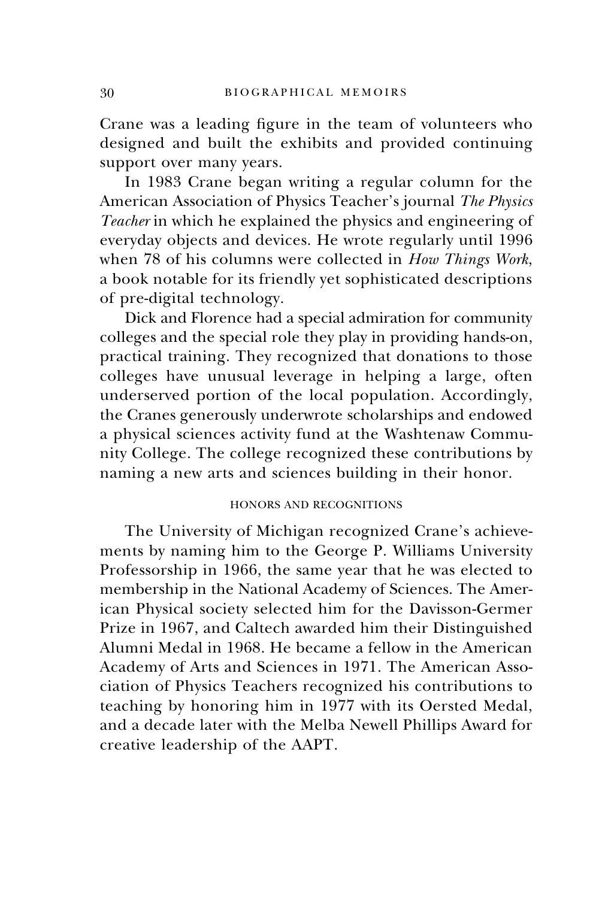Crane was a leading figure in the team of volunteers who designed and built the exhibits and provided continuing support over many years.

In 1983 Crane began writing a regular column for the American Association of Physics Teacher's journal *The Physics Teacher* in which he explained the physics and engineering of everyday objects and devices. He wrote regularly until 1996 when 78 of his columns were collected in *How Things Work*, a book notable for its friendly yet sophisticated descriptions of pre-digital technology.

Dick and Florence had a special admiration for community colleges and the special role they play in providing hands-on, practical training. They recognized that donations to those colleges have unusual leverage in helping a large, often underserved portion of the local population. Accordingly, the Cranes generously underwrote scholarships and endowed a physical sciences activity fund at the Washtenaw Community College. The college recognized these contributions by naming a new arts and sciences building in their honor.

# HONORS AND RECOGNITIONS

The University of Michigan recognized Crane's achievements by naming him to the George P. Williams University Professorship in 1966, the same year that he was elected to membership in the National Academy of Sciences. The American Physical society selected him for the Davisson-Germer Prize in 1967, and Caltech awarded him their Distinguished Alumni Medal in 1968. He became a fellow in the American Academy of Arts and Sciences in 1971. The American Association of Physics Teachers recognized his contributions to teaching by honoring him in 1977 with its Oersted Medal, and a decade later with the Melba Newell Phillips Award for creative leadership of the AAPT.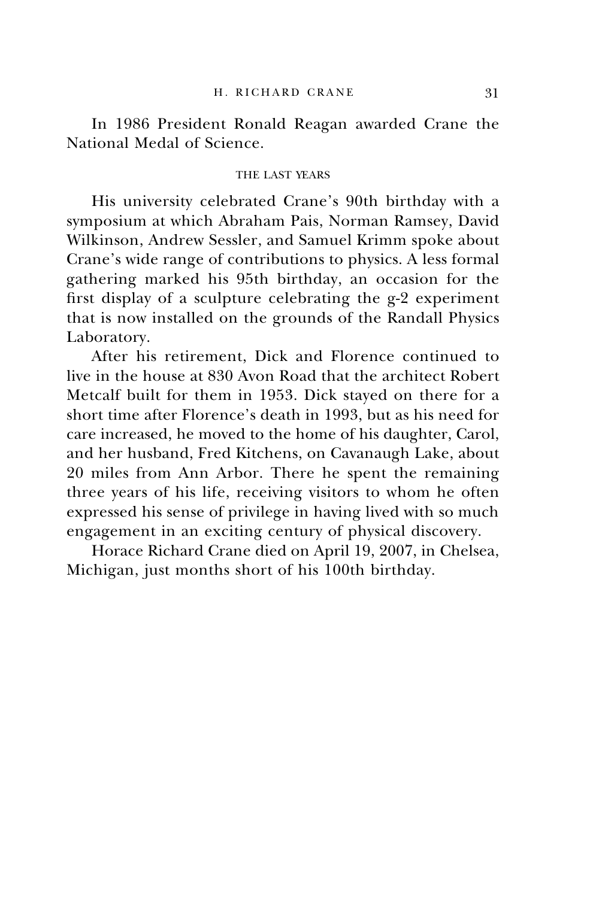In 1986 President Ronald Reagan awarded Crane the National Medal of Science.

# THE LAST YEARS

His university celebrated Crane's 90th birthday with a symposium at which Abraham Pais, Norman Ramsey, David Wilkinson, Andrew Sessler, and Samuel Krimm spoke about Crane's wide range of contributions to physics. A less formal gathering marked his 95th birthday, an occasion for the first display of a sculpture celebrating the g-2 experiment that is now installed on the grounds of the Randall Physics Laboratory.

After his retirement, Dick and Florence continued to live in the house at 830 Avon Road that the architect Robert Metcalf built for them in 1953. Dick stayed on there for a short time after Florence's death in 1993, but as his need for care increased, he moved to the home of his daughter, Carol, and her husband, Fred Kitchens, on Cavanaugh Lake, about 20 miles from Ann Arbor. There he spent the remaining three years of his life, receiving visitors to whom he often expressed his sense of privilege in having lived with so much engagement in an exciting century of physical discovery.

Horace Richard Crane died on April 19, 2007, in Chelsea, Michigan, just months short of his 100th birthday.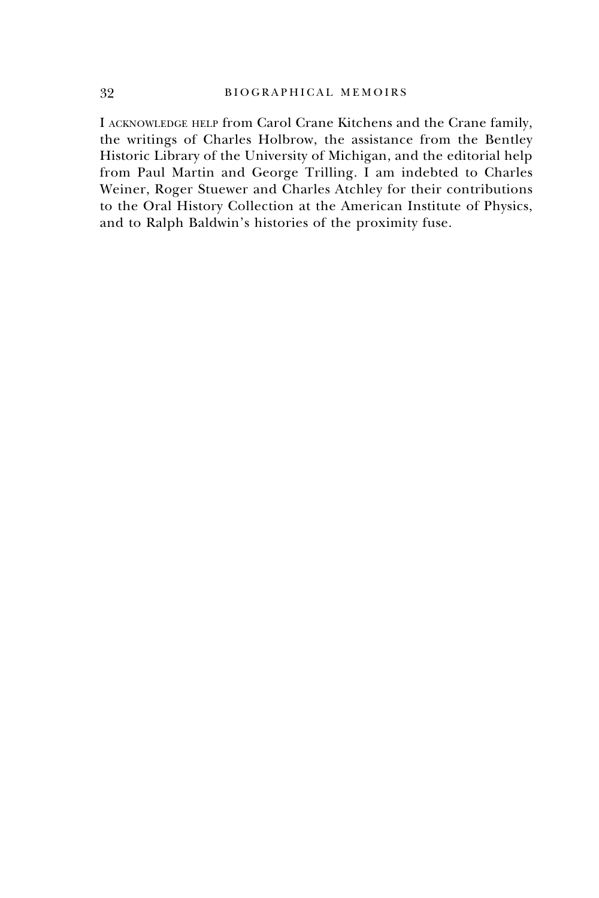I acknowledge help from Carol Crane Kitchens and the Crane family, the writings of Charles Holbrow, the assistance from the Bentley Historic Library of the University of Michigan, and the editorial help from Paul Martin and George Trilling. I am indebted to Charles Weiner, Roger Stuewer and Charles Atchley for their contributions to the Oral History Collection at the American Institute of Physics, and to Ralph Baldwin's histories of the proximity fuse.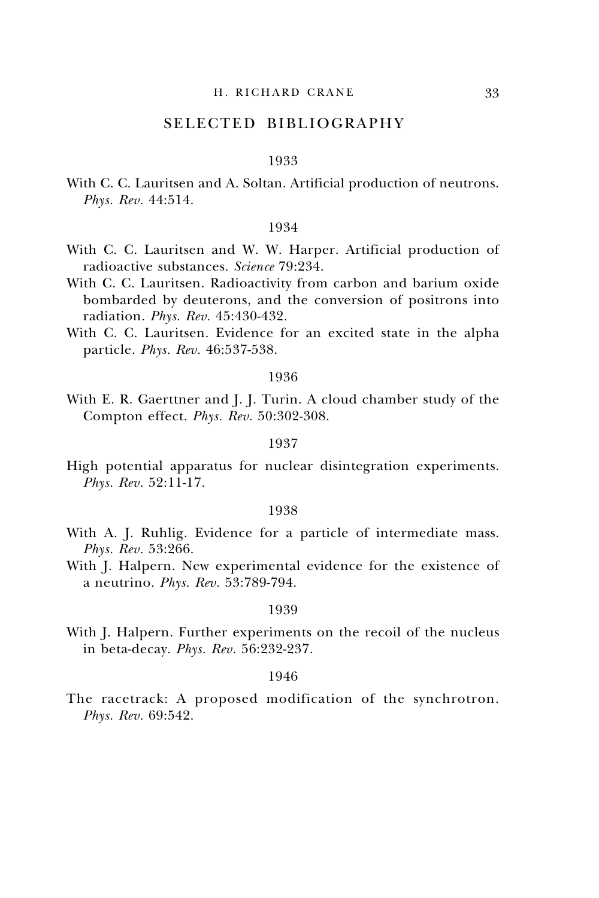# SELECTED BIBLIOGRAPHY

#### 1933

With C. C. Lauritsen and A. Soltan. Artificial production of neutrons. *Phys. Rev.* 44:514.

# 1934

- With C. C. Lauritsen and W. W. Harper. Artificial production of radioactive substances. *Science* 79:234.
- With C. C. Lauritsen. Radioactivity from carbon and barium oxide bombarded by deuterons, and the conversion of positrons into radiation. *Phys. Rev.* 45:430-432.
- With C. C. Lauritsen. Evidence for an excited state in the alpha particle. *Phys. Rev.* 46:537-538.

#### 1936

With E. R. Gaerttner and J. J. Turin. A cloud chamber study of the Compton effect. *Phys. Rev.* 50:302-308.

### 1937

High potential apparatus for nuclear disintegration experiments. *Phys. Rev.* 52:11-17.

#### 1938

- With A. J. Ruhlig. Evidence for a particle of intermediate mass. *Phys. Rev.* 53:266.
- With J. Halpern. New experimental evidence for the existence of a neutrino. *Phys. Rev.* 53:789-794.

#### 1939

With J. Halpern. Further experiments on the recoil of the nucleus in beta-decay. *Phys. Rev.* 56:232-237.

### 1946

The racetrack: A proposed modification of the synchrotron. *Phys. Rev.* 69:542.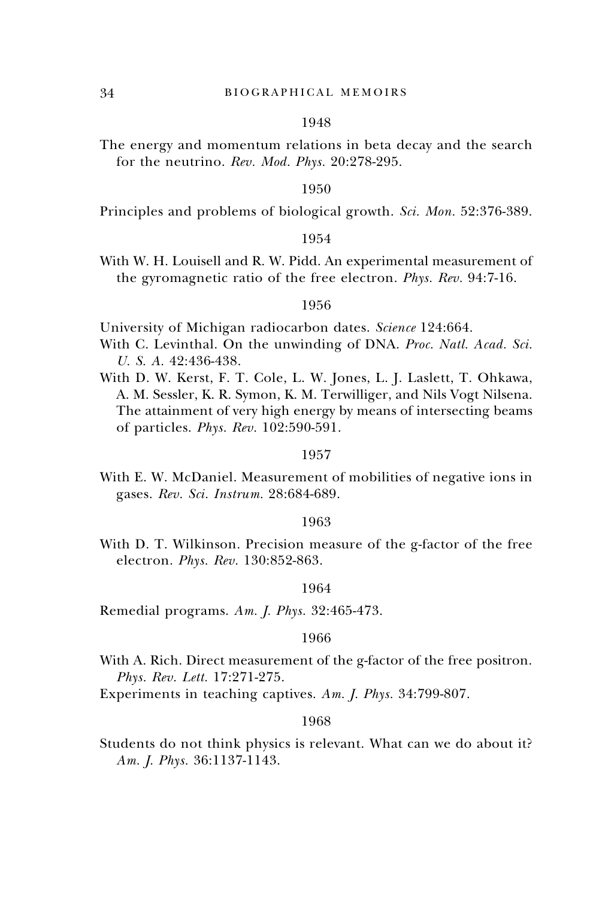#### 1948

The energy and momentum relations in beta decay and the search for the neutrino. *Rev. Mod. Phys.* 20:278-295.

#### 1950

Principles and problems of biological growth. *Sci. Mon.* 52:376-389.

### 1954

With W. H. Louisell and R. W. Pidd. An experimental measurement of the gyromagnetic ratio of the free electron. *Phys. Rev.* 94:7-16.

#### 1956

University of Michigan radiocarbon dates. *Science* 124:664.

- With C. Levinthal. On the unwinding of DNA. *Proc. Natl. Acad. Sci. U. S. A.* 42:436-438.
- With D. W. Kerst, F. T. Cole, L. W. Jones, L. J. Laslett, T. Ohkawa, A. M. Sessler, K. R. Symon, K. M. Terwilliger, and Nils Vogt Nilsena. The attainment of very high energy by means of intersecting beams of particles. *Phys. Rev.* 102:590-591.

#### 1957

With E. W. McDaniel. Measurement of mobilities of negative ions in gases. *Rev. Sci. Instrum.* 28:684-689.

#### 1963

With D. T. Wilkinson. Precision measure of the g-factor of the free electron. *Phys. Rev.* 130:852-863.

### 1964

Remedial programs. *Am. J. Phys.* 32:465-473.

#### 1966

- With A. Rich. Direct measurement of the g-factor of the free positron. *Phys. Rev. Lett.* 17:271-275.
- Experiments in teaching captives. *Am. J. Phys.* 34:799-807.

#### 1968

Students do not think physics is relevant. What can we do about it? *Am. J. Phys.* 36:1137-1143.